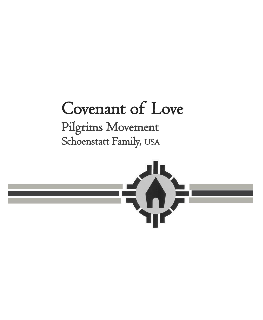# Covenant of Love Pilgrims Movement Schoenstatt Family, USA

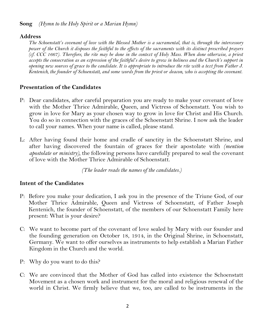#### **Song** *(Hymn to the Holy Spirit or a Marian Hymn)*

### **Address**

*The Schoenstatt's covenant of love with the Blessed Mother is a sacramental, that is, through the intercessory power of the Church it disposes the faithful to the effects of the sacraments with its distinct prescribed prayers (cf. CCC 1667). Therefore, the rite may be done in the context of Holy Mass. When done otherwise, a priest*  accepts the consecration as an expression of the faithful's desire to grow in holiness and the Church's support in *opening new sources of grace to the candidate. It is appropriate to introduce the rite with a text from Father J. Kentenich, the founder of Schoenstatt, and some words from the priest or deacon, who is accepting the covenant.*

# **Presentation of the Candidates**

- P: Dear candidates, after careful preparation you are ready to make your covenant of love with the Mother Thrice Admirable, Queen, and Victress of Schoenstatt. You wish to grow in love for Mary as your chosen way to grow in love for Christ and His Church. You do so in connection with the graces of the Schoenstatt Shrine. I now ask the leader to call your names. When your name is called, please stand.
- L: After having found their home and cradle of sanctity in the Schoenstatt Shrine, and after having discovered the fountain of graces for their apostolate with *(mention apostolate or ministry),* the following persons have carefully prepared to seal the covenant of love with the Mother Thrice Admirable of Schoenstatt.

*(The leader reads the names of the candidates.)*

### **Intent of the Candidates**

- P: Before you make your dedication, I ask you in the presence of the Triune God, of our Mother Thrice Admirable, Queen and Victress of Schoenstatt, of Father Joseph Kentenich, the founder of Schoenstatt, of the members of our Schoenstatt Family here present: What is your desire?
- C: We want to become part of the covenant of love sealed by Mary with our founder and the founding generation on October 18, 1914, in the Original Shrine, in Schoenstatt, Germany. We want to offer ourselves as instruments to help establish a Marian Father Kingdom in the Church and the world.
- P: Why do you want to do this?
- C: We are convinced that the Mother of God has called into existence the Schoenstatt Movement as a chosen work and instrument for the moral and religious renewal of the world in Christ. We firmly believe that we, too, are called to be instruments in the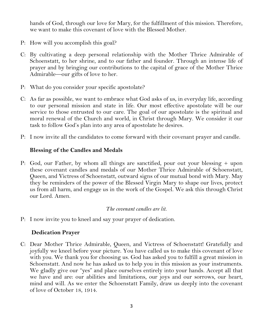hands of God, through our love for Mary, for the fulfillment of this mission. Therefore, we want to make this covenant of love with the Blessed Mother.

- P: How will you accomplish this goal?
- C: By cultivating a deep personal relationship with the Mother Thrice Admirable of Schoenstatt, to her shrine, and to our father and founder. Through an intense life of prayer and by bringing our contributions to the capital of grace of the Mother Thrice Admirable—our gifts of love to her.
- P: What do you consider your specific apostolate?
- C: As far as possible, we want to embrace what God asks of us, in everyday life, according to our personal mission and state in life. Our most effective apostolate will be our service to those entrusted to our care. The goal of our apostolate is the spiritual and moral renewal of the Church and world, in Christ through Mary. We consider it our task to follow God's plan into any area of apostolate he desires.
- P: I now invite all the candidates to come forward with their covenant prayer and candle.

### **Blessing of the Candles and Medals**

P: God, our Father, by whom all things are sanctified, pour out your blessing + upon these covenant candles and medals of our Mother Thrice Admirable of Schoenstatt, Queen, and Victress of Schoenstatt, outward signs of our mutual bond with Mary. May they be reminders of the power of the Blessed Virgin Mary to shape our lives, protect us from all harm, and engage us in the work of the Gospel. We ask this through Christ our Lord. Amen.

#### *The covenant candles are lit.*

P: I now invite you to kneel and say your prayer of dedication.

### **Dedication Prayer**

C: Dear Mother Thrice Admirable, Queen, and Victress of Schoenstatt! Gratefully and joyfully we kneel before your picture. You have called us to make this covenant of love with you. We thank you for choosing us. God has asked you to fulfill a great mission in Schoenstatt. And now he has asked us to help you in this mission as your instruments. We gladly give our "yes" and place ourselves entirely into your hands. Accept all that we have and are: our abilities and limitations, our joys and our sorrows, our heart, mind and will. As we enter the Schoenstatt Family, draw us deeply into the covenant of love of October 18, 1914.